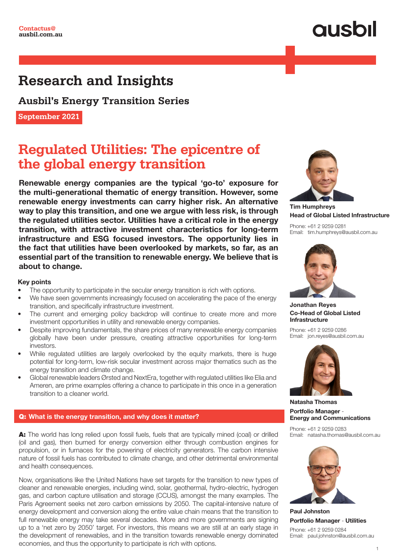### **Research and Insights**

**Ausbil's Energy Transition Series**

**September 2021**

### **Regulated Utilities: The epicentre of the global energy transition**

Renewable energy companies are the typical 'go-to' exposure for the multi-generational thematic of energy transition. However, some renewable energy investments can carry higher risk. An alternative way to play this transition, and one we argue with less risk, is through the regulated utilities sector. Utilities have a critical role in the energy transition, with attractive investment characteristics for long-term infrastructure and ESG focused investors. The opportunity lies in the fact that utilities have been overlooked by markets, so far, as an essential part of the transition to renewable energy. We believe that is about to change.

### Key points

- The opportunity to participate in the secular energy transition is rich with options.
- We have seen governments increasingly focused on accelerating the pace of the energy transition, and specifically infrastructure investment.
- The current and emerging policy backdrop will continue to create more and more investment opportunities in utility and renewable energy companies.
- Despite improving fundamentals, the share prices of many renewable energy companies globally have been under pressure, creating attractive opportunities for long-term investors.
- While regulated utilities are largely overlooked by the equity markets, there is huge potential for long-term, low-risk secular investment across major thematics such as the energy transition and climate change.
- Global renewable leaders Ørsted and NextEra, together with regulated utilities like Elia and Ameren, are prime examples offering a chance to participate in this once in a generation transition to a cleaner world.

### Q: What is the energy transition, and why does it matter?

A: The world has long relied upon fossil fuels, fuels that are typically mined (coal) or drilled (oil and gas), then burned for energy conversion either through combustion engines for propulsion, or in furnaces for the powering of electricity generators. The carbon intensive nature of fossil fuels has contributed to climate change, and other detrimental environmental and health consequences.

Now, organisations like the United Nations have set targets for the transition to new types of cleaner and renewable energies, including wind, solar, geothermal, hydro-electric, hydrogen gas, and carbon capture utilisation and storage (CCUS), amongst the many examples. The Paris Agreement seeks net zero carbon emissions by 2050. The capital-intensive nature of energy development and conversion along the entire value chain means that the transition to full renewable energy may take several decades. More and more governments are signing up to a 'net zero by 2050' target. For investors, this means we are still at an early stage in the development of renewables, and in the transition towards renewable energy dominated economies, and thus the opportunity to participate is rich with options.



Tim Humphreys Head of Global Listed Infrastructure

Phone: +61 2 9259 0281 Email: tim.humphreys@ausbil.com.au



Jonathan Reyes Co-Head of Global Listed Infrastructure

Phone: +61 2 9259 0286 Email: jon.reyes@ausbil.com.au



Natasha Thomas Portfolio Manager - Energy and Communications

Phone: +61 2 9259 0283 Email: natasha.thomas@ausbil.com.au



Paul Johnston Portfolio Manager - Utilities

Phone: +61 2 9259 0284 Email: paul.johnston@ausbil.com.au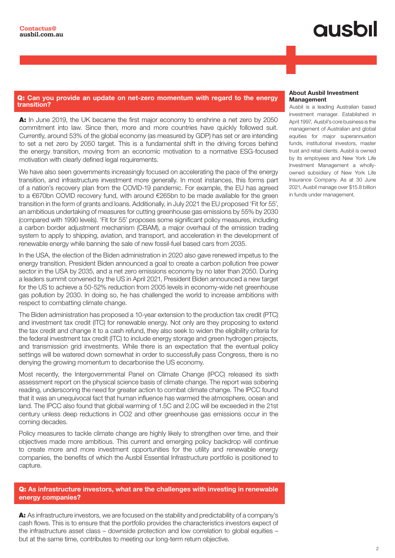#### Q: Can you provide an update on net-zero momentum with regard to the energy transition?

A: In June 2019, the UK became the first major economy to enshrine a net zero by 2050 commitment into law. Since then, more and more countries have quickly followed suit. Currently, around 53% of the global economy (as measured by GDP) has set or are intending to set a net zero by 2050 target. This is a fundamental shift in the driving forces behind the energy transition, moving from an economic motivation to a normative ESG-focused motivation with clearly defined legal requirements.

We have also seen governments increasingly focused on accelerating the pace of the energy transition, and infrastructure investment more generally. In most instances, this forms part of a nation's recovery plan from the COVID-19 pandemic. For example, the EU has agreed to a €670bn COVID recovery fund, with around €265bn to be made available for the green transition in the form of grants and loans. Additionally, in July 2021 the EU proposed 'Fit for 55', an ambitious undertaking of measures for cutting greenhouse gas emissions by 55% by 2030 (compared with 1990 levels). 'Fit for 55' proposes some significant policy measures, including a carbon border adjustment mechanism (CBAM), a major overhaul of the emission trading system to apply to shipping, aviation, and transport, and acceleration in the development of renewable energy while banning the sale of new fossil-fuel based cars from 2035.

In the USA, the election of the Biden administration in 2020 also gave renewed impetus to the energy transition. President Biden announced a goal to create a carbon pollution free power sector in the USA by 2035, and a net zero emissions economy by no later than 2050. During a leaders summit convened by the US in April 2021, President Biden announced a new target for the US to achieve a 50-52% reduction from 2005 levels in economy-wide net greenhouse gas pollution by 2030. In doing so, he has challenged the world to increase ambitions with respect to combatting climate change.

The Biden administration has proposed a 10-year extension to the production tax credit (PTC) and investment tax credit (ITC) for renewable energy. Not only are they proposing to extend the tax credit and change it to a cash refund, they also seek to widen the eligibility criteria for the federal investment tax credit (ITC) to include energy storage and green hydrogen projects, and transmission grid investments. While there is an expectation that the eventual policy settings will be watered down somewhat in order to successfully pass Congress, there is no denying the growing momentum to decarbonise the US economy.

Most recently, the Intergovernmental Panel on Climate Change (IPCC) released its sixth assessment report on the physical science basis of climate change. The report was sobering reading, underscoring the need for greater action to combat climate change. The IPCC found that it was an unequivocal fact that human influence has warmed the atmosphere, ocean and land. The IPCC also found that global warming of 1.5C and 2.0C will be exceeded in the 21st century unless deep reductions in CO2 and other greenhouse gas emissions occur in the coming decades.

Policy measures to tackle climate change are highly likely to strengthen over time, and their objectives made more ambitious. This current and emerging policy backdrop will continue to create more and more investment opportunities for the utility and renewable energy companies, the benefits of which the Ausbil Essential Infrastructure portfolio is positioned to capture.

### Q: As infrastructure investors, what are the challenges with investing in renewable energy companies?

A: As infrastructure investors, we are focused on the stability and predictability of a company's cash flows. This is to ensure that the portfolio provides the characteristics investors expect of the infrastructure asset class – downside protection and low correlation to global equities – but at the same time, contributes to meeting our long-term return objective.

#### About Ausbil Investment Management

Ausbil is a leading Australian based investment manager. Established in April 1997, Ausbil's core business is the management of Australian and global equities for major superannuation funds, institutional investors, master trust and retail clients. Ausbil is owned by its employees and New York Life Investment Management a whollyowned subsidiary of New York Life Insurance Company. As at 30 June 2021, Ausbil manage over \$15.8 billion in funds under management.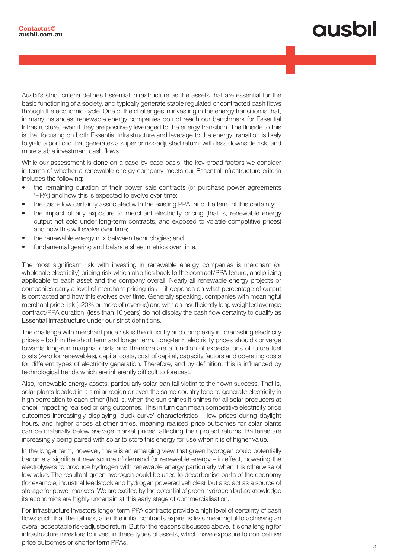# qusbil

Ausbil's strict criteria defines Essential Infrastructure as the assets that are essential for the basic functioning of a society, and typically generate stable regulated or contracted cash flows through the economic cycle. One of the challenges in investing in the energy transition is that, in many instances, renewable energy companies do not reach our benchmark for Essential Infrastructure, even if they are positively leveraged to the energy transition. The flipside to this is that focusing on both Essential Infrastructure and leverage to the energy transition is likely to yield a portfolio that generates a superior risk-adjusted return, with less downside risk, and more stable investment cash flows.

While our assessment is done on a case-by-case basis, the key broad factors we consider in terms of whether a renewable energy company meets our Essential Infrastructure criteria includes the following:

- the remaining duration of their power sale contracts (or purchase power agreements 'PPA') and how this is expected to evolve over time;
- the cash-flow certainty associated with the existing PPA, and the term of this certainty;
- the impact of any exposure to merchant electricity pricing (that is, renewable energy output not sold under long-term contracts, and exposed to volatile competitive prices) and how this will evolve over time;
- the renewable energy mix between technologies; and
- fundamental gearing and balance sheet metrics over time.

The most significant risk with investing in renewable energy companies is merchant (or wholesale electricity) pricing risk which also ties back to the contract/PPA tenure, and pricing applicable to each asset and the company overall. Nearly all renewable energy projects or companies carry a level of merchant pricing risk – it depends on what percentage of output is contracted and how this evolves over time. Generally speaking, companies with meaningful merchant price risk (~20% or more of revenue) and with an insufficiently long weighted average contract/PPA duration (less than 10 years) do not display the cash flow certainty to qualify as Essential Infrastructure under our strict definitions.

The challenge with merchant price risk is the difficulty and complexity in forecasting electricity prices – both in the short term and longer term. Long-term electricity prices should converge towards long-run marginal costs and therefore are a function of expectations of future fuel costs (zero for renewables), capital costs, cost of capital, capacity factors and operating costs for different types of electricity generation. Therefore, and by definition, this is influenced by technological trends which are inherently difficult to forecast.

Also, renewable energy assets, particularly solar, can fall victim to their own success. That is, solar plants located in a similar region or even the same country tend to generate electricity in high correlation to each other (that is, when the sun shines it shines for all solar producers at once), impacting realised pricing outcomes. This in turn can mean competitive electricity price outcomes increasingly displaying 'duck curve' characteristics – low prices during daylight hours, and higher prices at other times, meaning realised price outcomes for solar plants can be materially below average market prices, affecting their project returns. Batteries are increasingly being paired with solar to store this energy for use when it is of higher value.

In the longer term, however, there is an emerging view that green hydrogen could potentially become a significant new source of demand for renewable energy – in effect, powering the electrolysers to produce hydrogen with renewable energy particularly when it is otherwise of low value. The resultant green hydrogen could be used to decarbonise parts of the economy (for example, industrial feedstock and hydrogen powered vehicles), but also act as a source of storage for power markets. We are excited by the potential of green hydrogen but acknowledge its economics are highly uncertain at this early stage of commercialisation.

For infrastructure investors longer term PPA contracts provide a high level of certainty of cash flows such that the tail risk, after the initial contracts expire, is less meaningful to achieving an overall acceptable risk-adjusted return. But for the reasons discussed above, it is challenging for infrastructure investors to invest in these types of assets, which have exposure to competitive price outcomes or shorter term PPAs.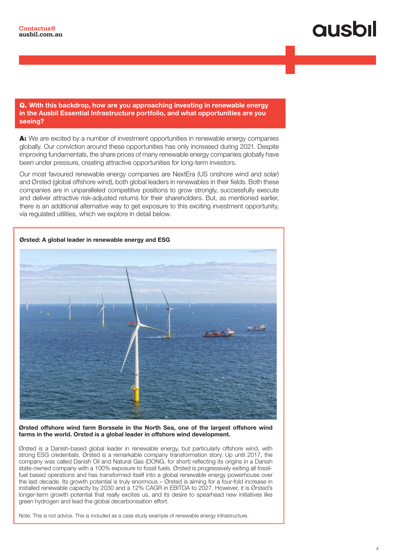#### Q. With this backdrop, how are you approaching investing in renewable energy in the Ausbil Essential Infrastructure portfolio, and what opportunities are you seeing?

A: We are excited by a number of investment opportunities in renewable energy companies globally. Our conviction around these opportunities has only increased during 2021. Despite improving fundamentals, the share prices of many renewable energy companies globally have been under pressure, creating attractive opportunities for long-term investors.

Our most favoured renewable energy companies are NextEra (US onshore wind and solar) and Ørsted (global offshore wind), both global leaders in renewables in their fields. Both these companies are in unparalleled competitive positions to grow strongly, successfully execute and deliver attractive risk-adjusted returns for their shareholders. But, as mentioned earlier, there is an additional alternative way to get exposure to this exciting investment opportunity, via regulated utilities, which we explore in detail below.



#### Ørsted offshore wind farm Borssele in the North Sea, one of the largest offshore wind farms in the world. Orsted is a global leader in offshore wind development.

Ørsted is a Danish-based global leader in renewable energy, but particularly offshore wind, with strong ESG credentials. Ørsted is a remarkable company transformation story. Up until 2017, the company was called Danish Oil and Natural Gas (DONG, for short) reflecting its origins in a Danish state-owned company with a 100% exposure to fossil fuels. Ørsted is progressively exiting all fossilfuel based operations and has transformed itself into a global renewable energy powerhouse over the last decade. Its growth potential is truly enormous – Ørsted is aiming for a four-fold increase in installed renewable capacity by 2030 and a 12% CAGR in EBITDA to 2027. However, it is Ørsted's longer-term growth potential that really excites us, and its desire to spearhead new initiatives like green hydrogen and lead the global decarbonisation effort.

Note: This is not advice. This is included as a case study example of renewable energy infrastructure.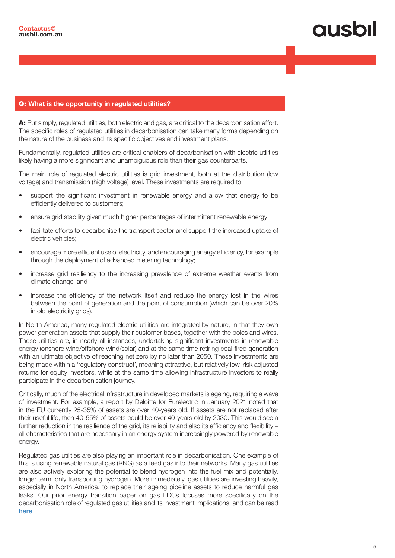## qusbi

#### Q: What is the opportunity in regulated utilities?

A: Put simply, regulated utilities, both electric and gas, are critical to the decarbonisation effort. The specific roles of regulated utilities in decarbonisation can take many forms depending on the nature of the business and its specific objectives and investment plans.

Fundamentally, regulated utilities are critical enablers of decarbonisation with electric utilities likely having a more significant and unambiguous role than their gas counterparts.

The main role of regulated electric utilities is grid investment, both at the distribution (low voltage) and transmission (high voltage) level. These investments are required to:

- support the significant investment in renewable energy and allow that energy to be efficiently delivered to customers;
- ensure grid stability given much higher percentages of intermittent renewable energy;
- facilitate efforts to decarbonise the transport sector and support the increased uptake of electric vehicles;
- encourage more efficient use of electricity, and encouraging energy efficiency, for example through the deployment of advanced metering technology;
- increase grid resiliency to the increasing prevalence of extreme weather events from climate change; and
- increase the efficiency of the network itself and reduce the energy lost in the wires between the point of generation and the point of consumption (which can be over 20% in old electricity grids).

In North America, many regulated electric utilities are integrated by nature, in that they own power generation assets that supply their customer bases, together with the poles and wires. These utilities are, in nearly all instances, undertaking significant investments in renewable energy (onshore wind/offshore wind/solar) and at the same time retiring coal-fired generation with an ultimate objective of reaching net zero by no later than 2050. These investments are being made within a 'regulatory construct', meaning attractive, but relatively low, risk adjusted returns for equity investors, while at the same time allowing infrastructure investors to really participate in the decarbonisation journey.

Critically, much of the electrical infrastructure in developed markets is ageing, requiring a wave of investment. For example, a report by Deloitte for Eurelectric in January 2021 noted that in the EU currently 25-35% of assets are over 40-years old. If assets are not replaced after their useful life, then 40-55% of assets could be over 40-years old by 2030. This would see a further reduction in the resilience of the grid, its reliability and also its efficiency and flexibility – all characteristics that are necessary in an energy system increasingly powered by renewable energy.

Regulated gas utilities are also playing an important role in decarbonisation. One example of this is using renewable natural gas (RNG) as a feed gas into their networks. Many gas utilities are also actively exploring the potential to blend hydrogen into the fuel mix and potentially, longer term, only transporting hydrogen. More immediately, gas utilities are investing heavily, especially in North America, to replace their ageing pipeline assets to reduce harmful gas leaks. Our prior energy transition paper on gas LDCs focuses more specifically on the decarbonisation role of regulated gas utilities and its investment implications, and can be read here.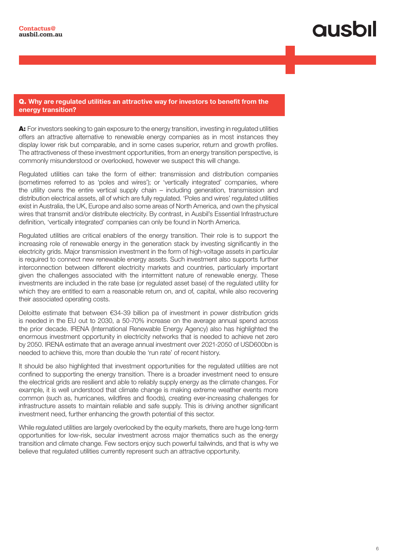### Q. Why are regulated utilities an attractive way for investors to benefit from the energy transition?

A: For investors seeking to gain exposure to the energy transition, investing in regulated utilities offers an attractive alternative to renewable energy companies as in most instances they display lower risk but comparable, and in some cases superior, return and growth profiles. The attractiveness of these investment opportunities, from an energy transition perspective, is commonly misunderstood or overlooked, however we suspect this will change.

Regulated utilities can take the form of either: transmission and distribution companies (sometimes referred to as 'poles and wires'); or 'vertically integrated' companies, where the utility owns the entire vertical supply chain – including generation, transmission and distribution electrical assets, all of which are fully regulated. 'Poles and wires' regulated utilities exist in Australia, the UK, Europe and also some areas of North America, and own the physical wires that transmit and/or distribute electricity. By contrast, in Ausbil's Essential Infrastructure definition, 'vertically integrated' companies can only be found in North America.

Regulated utilities are critical enablers of the energy transition. Their role is to support the increasing role of renewable energy in the generation stack by investing significantly in the electricity grids. Major transmission investment in the form of high-voltage assets in particular is required to connect new renewable energy assets. Such investment also supports further interconnection between different electricity markets and countries, particularly important given the challenges associated with the intermittent nature of renewable energy. These investments are included in the rate base (or regulated asset base) of the regulated utility for which they are entitled to earn a reasonable return on, and of, capital, while also recovering their associated operating costs.

Deloitte estimate that between €34-39 billion pa of investment in power distribution grids is needed in the EU out to 2030, a 50-70% increase on the average annual spend across the prior decade. IRENA (International Renewable Energy Agency) also has highlighted the enormous investment opportunity in electricity networks that is needed to achieve net zero by 2050. IRENA estimate that an average annual investment over 2021-2050 of USD600bn is needed to achieve this, more than double the 'run rate' of recent history.

It should be also highlighted that investment opportunities for the regulated utilities are not confined to supporting the energy transition. There is a broader investment need to ensure the electrical grids are resilient and able to reliably supply energy as the climate changes. For example, it is well understood that climate change is making extreme weather events more common (such as, hurricanes, wildfires and floods), creating ever-increasing challenges for infrastructure assets to maintain reliable and safe supply. This is driving another significant investment need, further enhancing the growth potential of this sector.

While regulated utilities are largely overlooked by the equity markets, there are huge long-term opportunities for low-risk, secular investment across major thematics such as the energy transition and climate change. Few sectors enjoy such powerful tailwinds, and that is why we believe that regulated utilities currently represent such an attractive opportunity.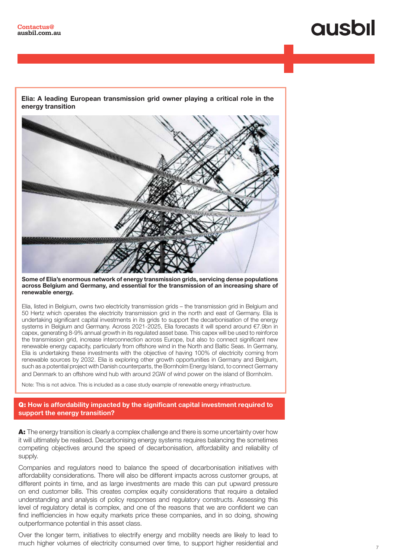# **QUSOII**

Elia: A leading European transmission grid owner playing a critical role in the energy transition



Some of Elia's enormous network of energy transmission grids, servicing dense populations across Belgium and Germany, and essential for the transmission of an increasing share of renewable energy.

Elia, listed in Belgium, owns two electricity transmission grids – the transmission grid in Belgium and 50 Hertz which operates the electricity transmission grid in the north and east of Germany. Elia is undertaking significant capital investments in its grids to support the decarbonisation of the energy systems in Belgium and Germany. Across 2021-2025, Elia forecasts it will spend around €7.9bn in capex, generating 8-9% annual growth in its regulated asset base. This capex will be used to reinforce the transmission grid, increase interconnection across Europe, but also to connect significant new renewable energy capacity, particularly from offshore wind in the North and Baltic Seas. In Germany, Elia is undertaking these investments with the objective of having 100% of electricity coming from renewable sources by 2032. Elia is exploring other growth opportunities in Germany and Belgium, such as a potential project with Danish counterparts, the Bornholm Energy Island, to connect Germany and Denmark to an offshore wind hub with around 2GW of wind power on the island of Bornholm.

Note: This is not advice. This is included as a case study example of renewable energy infrastructure.

Q: How is affordability impacted by the significant capital investment required to support the energy transition?

A: The energy transition is clearly a complex challenge and there is some uncertainty over how it will ultimately be realised. Decarbonising energy systems requires balancing the sometimes competing objectives around the speed of decarbonisation, affordability and reliability of supply.

Companies and regulators need to balance the speed of decarbonisation initiatives with affordability considerations. There will also be different impacts across customer groups, at different points in time, and as large investments are made this can put upward pressure on end customer bills. This creates complex equity considerations that require a detailed understanding and analysis of policy responses and regulatory constructs. Assessing this level of regulatory detail is complex, and one of the reasons that we are confident we can find inefficiencies in how equity markets price these companies, and in so doing, showing outperformance potential in this asset class.

Over the longer term, initiatives to electrify energy and mobility needs are likely to lead to much higher volumes of electricity consumed over time, to support higher residential and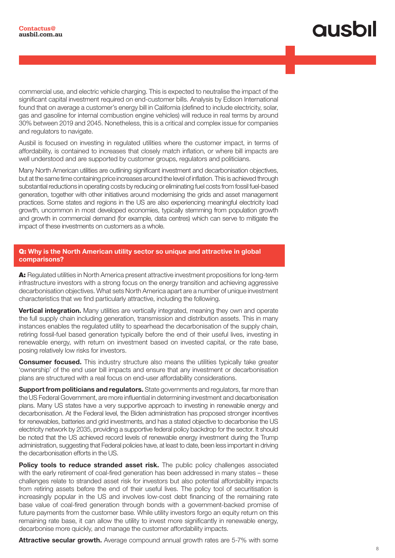# qusbil

commercial use, and electric vehicle charging. This is expected to neutralise the impact of the significant capital investment required on end-customer bills. Analysis by Edison International found that on average a customer's energy bill in California (defined to include electricity, solar, gas and gasoline for internal combustion engine vehicles) will reduce in real terms by around 30% between 2019 and 2045. Nonetheless, this is a critical and complex issue for companies and regulators to navigate.

Ausbil is focused on investing in regulated utilities where the customer impact, in terms of affordability, is contained to increases that closely match inflation, or where bill impacts are well understood and are supported by customer groups, regulators and politicians.

Many North American utilities are outlining significant investment and decarbonisation objectives, but at the same time containing price increases around the level of inflation. This is achieved through substantial reductions in operating costs by reducing or eliminating fuel costs from fossil fuel-based generation, together with other initiatives around modernising the grids and asset management practices. Some states and regions in the US are also experiencing meaningful electricity load growth, uncommon in most developed economies, typically stemming from population growth and growth in commercial demand (for example, data centres) which can serve to mitigate the impact of these investments on customers as a whole.

### Q: Why is the North American utility sector so unique and attractive in global comparisons?

A: Regulated utilities in North America present attractive investment propositions for long-term infrastructure investors with a strong focus on the energy transition and achieving aggressive decarbonisation objectives. What sets North America apart are a number of unique investment characteristics that we find particularly attractive, including the following.

**Vertical integration.** Many utilities are vertically integrated, meaning they own and operate the full supply chain including generation, transmission and distribution assets. This in many instances enables the regulated utility to spearhead the decarbonisation of the supply chain, retiring fossil-fuel based generation typically before the end of their useful lives, investing in renewable energy, with return on investment based on invested capital, or the rate base, posing relatively low risks for investors.

**Consumer focused.** This industry structure also means the utilities typically take greater 'ownership' of the end user bill impacts and ensure that any investment or decarbonisation plans are structured with a real focus on end-user affordability considerations.

**Support from politicians and regulators.** State governments and regulators, far more than the US Federal Government, are more influential in determining investment and decarbonisation plans. Many US states have a very supportive approach to investing in renewable energy and decarbonisation. At the Federal level, the Biden administration has proposed stronger incentives for renewables, batteries and grid investments, and has a stated objective to decarbonise the US electricity network by 2035, providing a supportive federal policy backdrop for the sector. It should be noted that the US achieved record levels of renewable energy investment during the Trump administration, suggesting that Federal policies have, at least to date, been less important in driving the decarbonisation efforts in the US.

Policy tools to reduce stranded asset risk. The public policy challenges associated with the early retirement of coal-fired generation has been addressed in many states – these challenges relate to stranded asset risk for investors but also potential affordability impacts from retiring assets before the end of their useful lives. The policy tool of securitisation is increasingly popular in the US and involves low-cost debt financing of the remaining rate base value of coal-fired generation through bonds with a government-backed promise of future payments from the customer base. While utility investors forgo an equity return on this remaining rate base, it can allow the utility to invest more significantly in renewable energy, decarbonise more quickly, and manage the customer affordability impacts.

Attractive secular growth. Average compound annual growth rates are 5-7% with some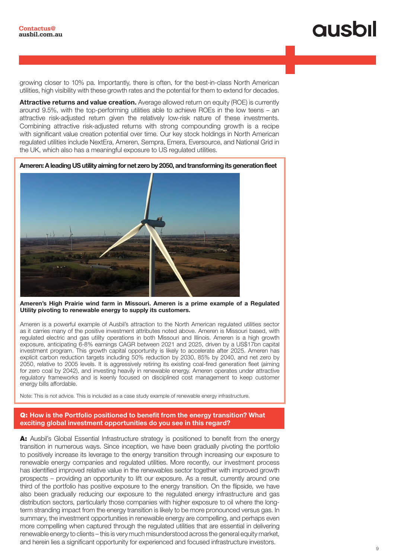growing closer to 10% pa. Importantly, there is often, for the best-in-class North American utilities, high visibility with these growth rates and the potential for them to extend for decades.

Attractive returns and value creation. Average allowed return on equity (ROE) is currently around 9.5%, with the top-performing utilities able to achieve ROEs in the low teens – an attractive risk-adjusted return given the relatively low-risk nature of these investments. Combining attractive risk-adjusted returns with strong compounding growth is a recipe with significant value creation potential over time. Our key stock holdings in North American regulated utilities include NextEra, Ameren, Sempra, Emera, Eversource, and National Grid in the UK, which also has a meaningful exposure to US regulated utilities.

Ameren: A leading US utility aiming for net zero by 2050, and transforming its generation fleet



Ameren's High Prairie wind farm in Missouri. Ameren is a prime example of a Regulated Utility pivoting to renewable energy to supply its customers.

Ameren is a powerful example of Ausbil's attraction to the North American regulated utilities sector as it carries many of the positive investment attributes noted above. Ameren is Missouri based, with regulated electric and gas utility operations in both Missouri and Illinois. Ameren is a high growth exposure, anticipating 6-8% earnings CAGR between 2021 and 2025, driven by a US\$17bn capital investment program. This growth capital opportunity is likely to accelerate after 2025. Ameren has explicit carbon reduction targets including 50% reduction by 2030, 85% by 2040, and net zero by 2050, relative to 2005 levels. It is aggressively retiring its existing coal-fired generation fleet (aiming for zero coal by 2042), and investing heavily in renewable energy. Ameren operates under attractive regulatory frameworks and is keenly focused on disciplined cost management to keep customer energy bills affordable.

Note: This is not advice. This is included as a case study example of renewable energy infrastructure.

#### Q: How is the Portfolio positioned to benefit from the energy transition? What exciting global investment opportunities do you see in this regard?

A: Ausbil's Global Essential Infrastructure strategy is positioned to benefit from the energy transition in numerous ways. Since inception, we have been gradually pivoting the portfolio to positively increase its leverage to the energy transition through increasing our exposure to renewable energy companies and regulated utilities. More recently, our investment process has identified improved relative value in the renewables sector together with improved growth prospects – providing an opportunity to lift our exposure. As a result, currently around one third of the portfolio has positive exposure to the energy transition. On the flipside, we have also been gradually reducing our exposure to the regulated energy infrastructure and gas distribution sectors, particularly those companies with higher exposure to oil where the longterm stranding impact from the energy transition is likely to be more pronounced versus gas. In summary, the investment opportunities in renewable energy are compelling, and perhaps even more compelling when captured through the regulated utilities that are essential in delivering renewable energy to clients – this is very much misunderstood across the general equity market, and herein lies a significant opportunity for experienced and focused infrastructure investors.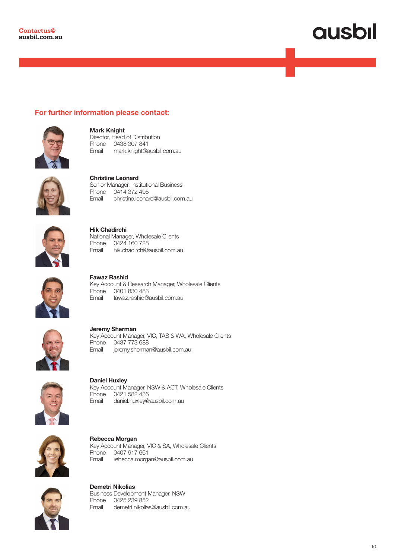### For further information please contact:



Mark Knight Director, Head of Distribution Phone 0438 307 841 Email mark.knight@ausbil.com.au



Christine Leonard Senior Manager, Institutional Business Phone 0414 372 495 Email christine.leonard@ausbil.com.au



Hik Chadirchi National Manager, Wholesale Clients Phone 0424 160 728<br>Email hik.chadirchi@a hik.chadirchi@ausbil.com.au



Fawaz Rashid Key Account & Research Manager, Wholesale Clients Phone 0401 830 483 Email fawaz.rashid@ausbil.com.au



Jeremy Sherman Key Account Manager, VIC, TAS & WA, Wholesale Clients Phone 0437 773 688 Email jeremy.sherman@ausbil.com.au



Daniel Huxley Key Account Manager, NSW & ACT, Wholesale Clients Phone 0421 582 436 Email daniel.huxley@ausbil.com.au



Rebecca Morgan Key Account Manager, VIC & SA, Wholesale Clients Phone 0407 917 661<br>Email rebecca.morga rebecca.morgan@ausbil.com.au



Demetri Nikolias Business Development Manager, NSW Phone 0425 239 852 Email demetri.nikolias@ausbil.com.au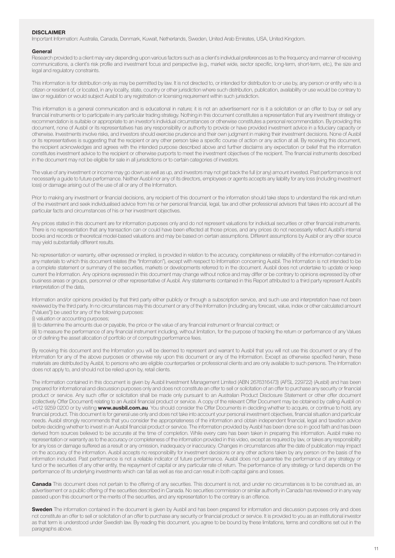#### **DISCLAIMER**

Important Information: Australia, Canada, Denmark, Kuwait, Netherlands, Sweden, United Arab Emirates, USA, United Kingdom.

#### **General**

Research provided to a client may vary depending upon various factors such as a client's individual preferences as to the frequency and manner of receiving communications, a client's risk profile and investment focus and perspective (e.g., market wide, sector specific, long-term, short-term, etc.), the size and legal and regulatory constraints.

This information is for distribution only as may be permitted by law. It is not directed to, or intended for distribution to or use by, any person or entity who is a citizen or resident of, or located, in any locality, state, country or other jurisdiction where such distribution, publication, availability or use would be contrary to law or regulation or would subject Ausbil to any registration or licensing requirement within such jurisdiction.

This information is a general communication and is educational in nature; it is not an advertisement nor is it a solicitation or an offer to buy or sell any financial instruments or to participate in any particular trading strategy. Nothing in this document constitutes a representation that any investment strategy or recommendation is suitable or appropriate to an investor's individual circumstances or otherwise constitutes a personal recommendation. By providing this document, none of Ausbil or its representatives has any responsibility or authority to provide or have provided investment advice in a fiduciary capacity or otherwise. Investments involve risks, and investors should exercise prudence and their own judgment in making their investment decisions. None of Ausbil or its representatives is suggesting that the recipient or any other person take a specific course of action or any action at all. By receiving this document, the recipient acknowledges and agrees with the intended purpose described above and further disclaims any expectation or belief that the information constitutes investment advice to the recipient or otherwise purports to meet the investment objectives of the recipient. The financial instruments described in the document may not be eligible for sale in all jurisdictions or to certain categories of investors.

The value of any investment or income may go down as well as up, and investors may not get back the full (or any) amount invested. Past performance is not necessarily a guide to future performance. Neither Ausbil nor any of its directors, employees or agents accepts any liability for any loss (including investment loss) or damage arising out of the use of all or any of the Information.

Prior to making any investment or financial decisions, any recipient of this document or the information should take steps to understand the risk and return of the investment and seek individualised advice from his or her personal financial, legal, tax and other professional advisors that takes into account all the particular facts and circumstances of his or her investment objectives.

Any prices stated in this document are for information purposes only and do not represent valuations for individual securities or other financial instruments. There is no representation that any transaction can or could have been effected at those prices, and any prices do not necessarily reflect Ausbil's internal books and records or theoretical model-based valuations and may be based on certain assumptions. Different assumptions by Ausbil or any other source may yield substantially different results.

No representation or warranty, either expressed or implied, is provided in relation to the accuracy, completeness or reliability of the information contained in any materials to which this document relates (the "Information"), except with respect to Information concerning Ausbil. The Information is not intended to be a complete statement or summary of the securities, markets or developments referred to in the document. Ausbil does not undertake to update or keep current the Information. Any opinions expressed in this document may change without notice and may differ or be contrary to opinions expressed by other business areas or groups, personnel or other representative of Ausbil. Any statements contained in this Report attributed to a third party represent Ausbil's interpretation of the data,

Information and/or opinions provided by that third party either publicly or through a subscription service, and such use and interpretation have not been reviewed by the third party. In no circumstances may this document or any of the Information (including any forecast, value, index or other calculated amount ("Values")) be used for any of the following purposes:

(i) valuation or accounting purposes;

(ii) to determine the amounts due or payable, the price or the value of any financial instrument or financial contract; or

(iii) to measure the performance of any financial instrument including, without limitation, for the purpose of tracking the return or performance of any Values or of defining the asset allocation of portfolio or of computing performance fees.

By receiving this document and the Information you will be deemed to represent and warrant to Ausbil that you will not use this document or any of the Information for any of the above purposes or otherwise rely upon this document or any of the Information. Except as otherwise specified herein, these materials are distributed by Ausbil, to persons who are eligible counterparties or professional clients and are only available to such persons. The Information does not apply to, and should not be relied upon by, retail clients.

The information contained in this document is given by Ausbil Investment Management Limited (ABN 2676316473) (AFSL 229722) (Ausbil) and has been prepared for informational and discussion purposes only and does not constitute an offer to sell or solicitation of an offer to purchase any security or financial product or service. Any such offer or solicitation shall be made only pursuant to an Australian Product Disclosure Statement or other offer document (collectively Offer Document) relating to an Ausbil financial product or service. A copy of the relevant Offer Document may be obtained by calling Ausbil on +612 9259 0200 or by visiting www.ausbil.com.au. You should consider the Offer Documents in deciding whether to acquire, or continue to hold, any financial product. This document is for general use only and does not take into account your personal investment objectives, financial situation and particular needs. Ausbil strongly recommends that you consider the appropriateness of the information and obtain independent financial, legal and taxation advice before deciding whether to invest in an Ausbil financial product or service. The information provided by Ausbil has been done so in good faith and has been derived from sources believed to be accurate at the time of completion. While every care has been taken in preparing this information. Ausbil make no representation or warranty as to the accuracy or completeness of the information provided in this video, except as required by law, or takes any responsibility for any loss or damage suffered as a result or any omission, inadequacy or inaccuracy. Changes in circumstances after the date of publication may impact on the accuracy of the information. Ausbil accepts no responsibility for investment decisions or any other actions taken by any person on the basis of the information included. Past performance is not a reliable indicator of future performance. Ausbil does not guarantee the performance of any strategy or fund or the securities of any other entity, the repayment of capital or any particular rate of return. The performance of any strategy or fund depends on the performance of its underlying investments which can fall as well as rise and can result in both capital gains and losses.

Canada This document does not pertain to the offering of any securities. This document is not, and under no circumstances is to be construed as, an advertisement or a public offering of the securities described in Canada. No securities commission or similar authority in Canada has reviewed or in any way passed upon this document or the merits of the securities, and any representation to the contrary is an offence.

Sweden The information contained in the document is given by Ausbil and has been prepared for information and discussion purposes only and does not constitute an offer to sell or solicitation of an offer to purchase any security or financial product or service. It is provided to you as an institutional investor as that term is understood under Swedish law. By reading this document, you agree to be bound by these limitations, terms and conditions set out in the paragraphs above.